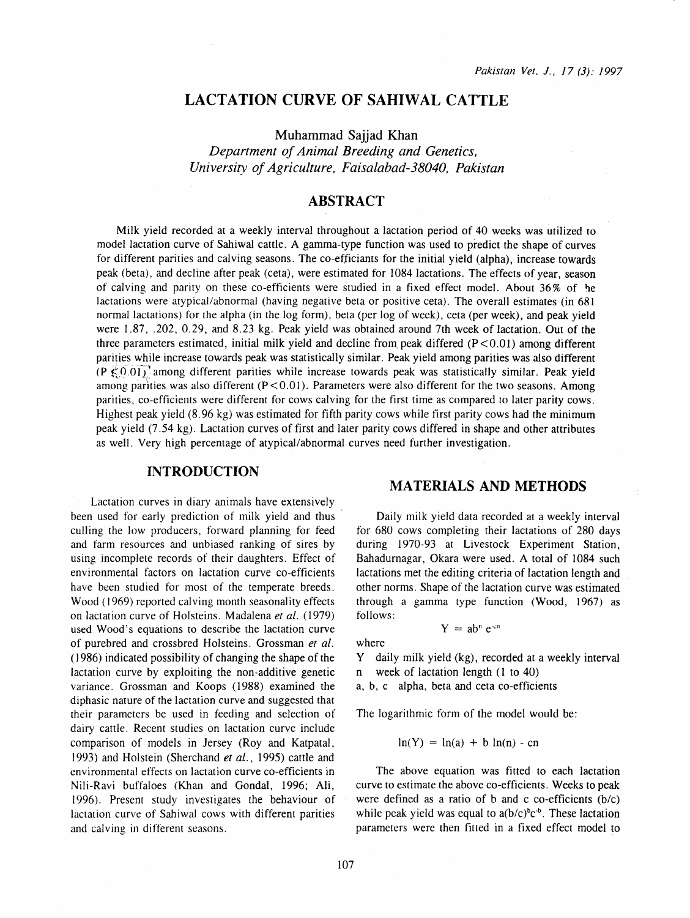# **LACTATION CURVE OF SAHIWAL CATTLE**

Muhammad Sajjad Khan

*Department of Animal Breeding and Genetics, University of Agriculture, Faisalabad-38040, Pakistan* 

# **ABSTRACT**

Milk yield recorded at a weekly interval throughout a lactation period of 40 weeks was utilized to model lactation curve of Sahiwal cattle. A gamma-type function was used to predict the shape of curves for different parities and calving seasons. The co-efficiants for the initial yield (alpha), increase towards peak (beta), and decline after peak (ceta), were estimated for 1084 lactations. The effects of year, season of calving and parity on these co-efficients were studied in a fixed effect model. About 36% of he lactations were atypical/abnormal (having negative beta or positive ceta). The overall estimates (in 681 normal lactations) for the alpha (in the log form), beta (per log of week), cera (per week), and peak yield were 1.87, .202, 0.29, and 8.23 kg. Peak yield was obtained around 7th week of lactation. Out of the three parameters estimated, initial milk yield and decline from peak differed  $(P<0.01)$  among different parities while increase towards peak was statistically similar. Peak yield among parities was also different (P  $\leq$  0.01) among different parities while increase towards peak was statistically similar. Peak yield among parities was also different  $(P<0.01)$ . Parameters were also different for the two seasons. Among parities, co-efficients were different for cows calving for the first time as compared to later parity cows. Highest peak yield (8. 96 kg) was estimated for fifth parity cows while first parity cows had the minimum peak yield (7 .54 kg). Lactation curves of first and later parity cows differed in shape and other attributes as well. Very high percentage of atypical/abnormal curves need further investigation.

#### **INTRODUCTION**

Lactation curves in diary animals have extensively been used for early prediction of milk yield and thus culling the low producers, forward planning for feed and farm resources and unbiased ranking of sires by using incomplete records of their daughters. Effect of environmental factors on lactation curve co-efficients have been studied for most of the temperate breeds. Wood ( 1969) reported calving month seasonality effects on lactation curve of Holsteins. Madalena *et al.* (1979) used Wood's equations to describe the lactation curve of purebred and crossbred Holsteins. Grossman *et al.*  ( 1986) indicated possibility of changing the shape of the lactation curve by exploiting the non-additive genetic variance. Grossman and Koops ( 1988) examined the diphasic nature of the lactation curve and suggested that their parameters be used in feeding and selection of dairy cattle. Recent studies on lactation curve include comparison of models in Jersey (Roy and Katpatal, 1993) and Holstein (Sherchand *et al.,* 1995) cattle and environmental effects on lactation curve co-efficients in Nili-Ravi buffaloes (Khan and Gondal, 1996; Ali, 1996). Present study investigates the behaviour of lactation curve of Sahiwal cows with different parities and calving in different seasons.

# **MATERIALS AND METHODS**

Daily milk yield data recorded at a weekly interval for 680 cows completing their lactations of 280 days during 1970-93 at Livestock Experiment Station, Bahadurnagar, Okara were used. A total of 1084 such lactations met the editing criteria of lactation length and other norms. Shape of the lactation curve was estimated through a gamma type function (Wood, 1967) as follows:

$$
Y = ab^n e^{cu}
$$

where

Y daily milk yield (kg), recorded at a weekly interval n week of lactation length (1 to 40)

a, b, c alpha, beta and ceta co-efficients

The logarithmic form of the model would be:

$$
\ln(Y) = \ln(a) + b \ln(n) - cn
$$

The above equation was fitted to each lactation curve to estimate the above co-efficients. Weeks to peak were defined as a ratio of b and c co-efficients (b/c) while peak yield was equal to  $a(b/c)^{b}c^{-b}$ . These lactation parameters were then fitted in a fixed effect model to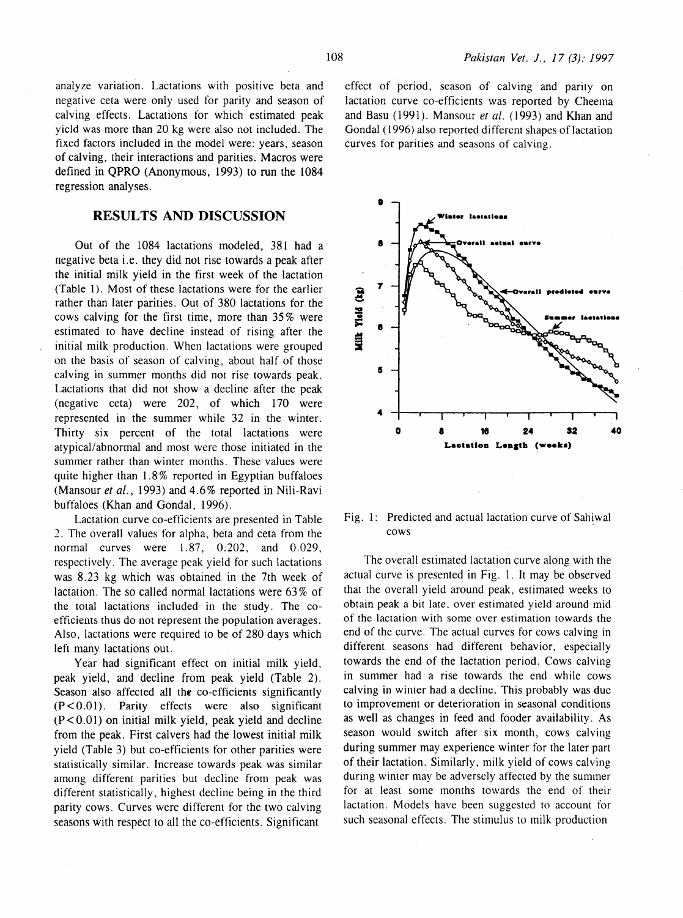analyze variation. Lactations with positive beta and negative ceta were only used for parity and season of calving effects. Lactations for which estimated peak yield was more than 20 kg were also not included. The fixed factors included in the model were: years. season of calving, their interactions and parities. Macros were defined in QPRO (Anonymous, 1993) to run the 1084 regression analyses.

### **RESULTS AND DISCUSSION**

Out of the 1084 lactations modeled, 381 had a negative beta i.e. they did not rise towards a peak after the initial milk yield in the first week of the lactation (Table 1). Most of these lactations were for the earlier rather than later parities. Out of 380 lactations for the cows calving for the first time, more than 35% were estimated to have decline instead of rising after the initial milk production. When lactations were grouped on the basis of season of calving, about half of those calving in summer months did not rise towards peak. Lactations that did not show a decline after the peak (negative ceta) were 202, of which 170 were represented in the summer while 32 in the winter. Thirty six percent of the total lactations were atypical/abnormal and most were those initiated in the summer rather than winter months. These values were quite higher than 1. 8% reported in Egyptian buffaloes (Mansour *et al.,* 1993) and 4.6% reported in Nili-Ravi buffaloes (Khan and Gondal, 1996).

Lactation curve co-efficients are presented in Table 2. The overall values for alpha, beta and ceta from the normal curves were 1.87, 0.202, and 0.029, respectively. The average peak yield for such lactations was 8.23 kg which was obtained in the 7th week of lactation. The so called normal lactations were 63% of the total lactations included in the study. The coefficients thus do not represent the population averages. Also, lactations were required to be of 280 days which left many lactations out.

Year had significant effect on initial milk yield, peak yield, and decline from peak yield (Table 2). Season also affected all the co-efficients significantly  $(P < 0.01)$ . Parity effects were also significant  $(P<0.01)$  on initial milk yield, peak yield and decline from the peak. First calvers had the lowest initial milk yield (Table 3) but co-efficients for other parities were statistically similar. Increase towards peak was similar among different parities but decline from peak was different statistically, highest decline being in the third parity cows. Curves were different for the two calving seasons with respect to all the co-efficients. Significant

effect of period, season of calving and parity on lactation curve co-efficients was reported by Cheema and Basu (1991). Mansour *et al.* ( 1993) and Khan and Gondal (1996) also reported different shapes of lactation curves for parities and seasons of calving.



Fig. 1: Predicted and actual lactation curve of Sahiwal cows

The overall estimated lactation curve along with the actual curve is presented in Fig. 1. It may be observed that the overall yield around peak, estimated weeks to obtain peak a bit late, over estimated yield around mid of the lactation with some over estimation towards the end of the curve. The actual curves for cows calving in different seasons had different behavior, especially towards the end of the lactation period. Cows calving in summer had a rise towards the end while cows calving in winter had a decline. This probably was due to improvement or deterioration in seasonal conditions as well as changes in feed and fooder availability. As season would switch after six month, cows calving during summer may experience winter for the later part of their lactation. Similarly, milk yield of cows calving during winter may be adversely affected by the summer for at least some months towards the end of their lactation. Models have been suggested to account for such seasonal effects. The stimulus to milk production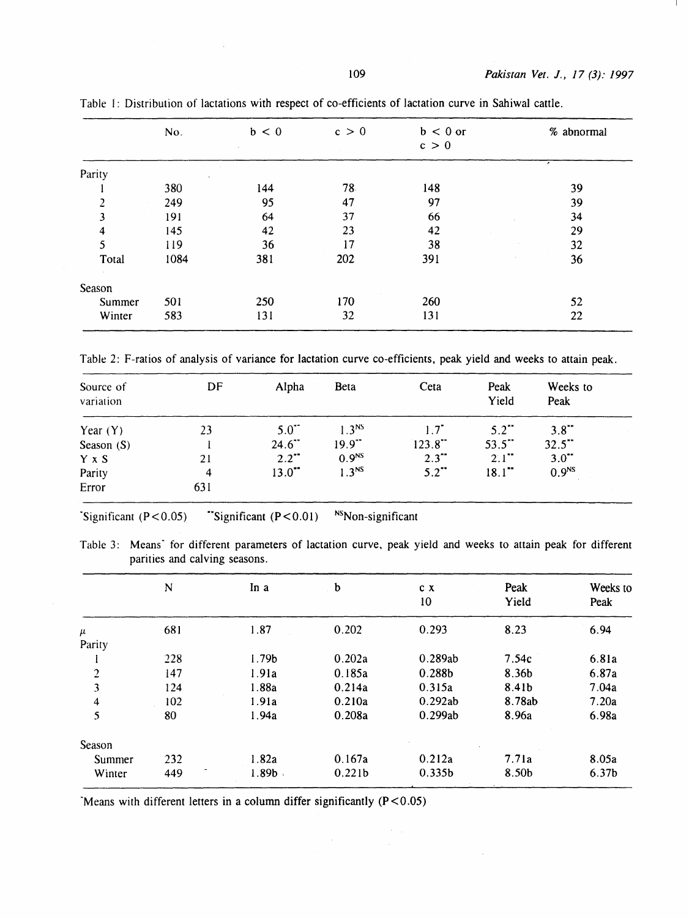|        | No.  | b < 0 | c > 0 | $b < 0$ or<br>c > 0 | % abnormal |
|--------|------|-------|-------|---------------------|------------|
| Parity |      |       |       |                     | ,          |
|        | 380  | 144   | 78    | 148                 | 39         |
| 2      | 249  | 95    | 47    | 97                  | 39         |
| 3      | 191  | 64    | 37    | 66                  | 34         |
| 4      | 145  | 42    | 23    | 42                  | 29         |
| 5      | 119  | 36    | 17    | 38                  | 32         |
| Total  | 1084 | 381   | 202   | 391                 | 36         |
| Season |      |       |       |                     |            |
| Summer | 501  | 250   | 170   | 260                 | 52         |
| Winter | 583  | 131   | 32    | 131                 | 22         |

Table I: Distribution of lactations with respect of co-efficients of lactation curve in Sahiwal cattle.

Table 2: F-ratios of analysis of variance for lactation curve co-efficients, peak yield and weeks to attain peak.

| Source of<br>variation | DF  | Alpha                | Beta                 | Ceta                | Peak<br>Yield       | Weeks to<br>Peak    |  |
|------------------------|-----|----------------------|----------------------|---------------------|---------------------|---------------------|--|
| Year $(Y)$             | 23  | $5.0$ <sup>*</sup>   | $1.3^{NS}$           | $1.7^{\circ}$       | $5.2$ <sup>**</sup> | 3.8"                |  |
| Season $(S)$           |     | $24.6$ <sup>**</sup> | $19.9$ <sup>**</sup> | $123.8$ **          | 53.5"               | 32.5                |  |
| Y x S                  | 21  | $2.2$ <sup>**</sup>  | 0.9 <sup>NS</sup>    | $2.3$ <sup>**</sup> | $2.1$ <sup>**</sup> | $3.0$ <sup>**</sup> |  |
| Parity                 | 4   | $13.0$ **            | 1.3 <sup>NS</sup>    | $5.2$ **            | $18.1$ **           | 0.9 <sup>NS</sup>   |  |
| Error                  | 631 |                      |                      |                     |                     |                     |  |

"Significant  $(P < 0.05)$  "Significant  $(P < 0.01)$  <sup>NS</sup>Non-significant

Table 3: Means<sup>\*</sup> for different parameters of lactation curve, peak yield and weeks to attain peak for different parities and calving seasons.

|                         | N   | In a      | b                  | c x<br>10          | Peak<br>Yield | Weeks to<br>Peak  |
|-------------------------|-----|-----------|--------------------|--------------------|---------------|-------------------|
| $\mu$                   | 681 | 1.87      | 0.202              | 0.293              | 8.23          | 6.94              |
| Parity                  |     |           |                    |                    |               |                   |
|                         | 228 | 1.79b     | 0.202a             | 0.289ab            | 7.54c         | 6.81a             |
| $\overline{2}$          | 147 | 1.91a     | 0.185a             | 0.288b             | 8.36b         | 6.87a             |
| $\overline{\mathbf{3}}$ | 124 | 1.88a     | 0.214a             | 0.315a             | 8.41b         | 7.04a             |
| 4                       | 102 | 1.91a     | 0.210a             | 0.292ab            | 8.78ab        | 7.20a             |
| 5                       | 80  | 1.94a     | 0.208a             | 0.299ab            | 8.96a         | 6.98a             |
| Season                  |     |           |                    |                    |               |                   |
| Summer                  | 232 | 1.82a     | 0.167a             | 0.212a             | 7.71a         | 8.05a             |
| Winter                  | 449 | $1.89b$ . | 0.221 <sub>b</sub> | 0.335 <sub>b</sub> | 8.50b         | 6.37 <sub>b</sub> |

 $\mathcal{A}^{\mathcal{A}}$ 

 $\bar{z}$ 

"Means with different letters in a column differ significantly  $(P < 0.05)$